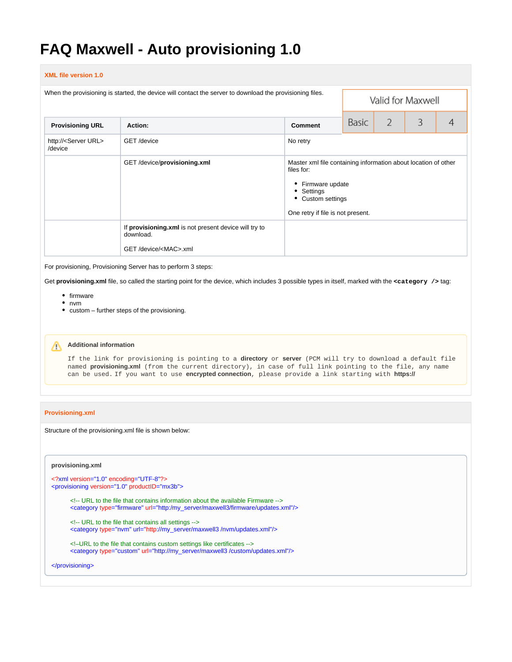# **FAQ Maxwell - Auto provisioning 1.0**

#### **XML file version 1.0**

| When the provisioning is started, the device will contact the server to download the provisioning files. |                                                                    |                                                                                                         | Valid for Maxwell                                              |                |   |   |
|----------------------------------------------------------------------------------------------------------|--------------------------------------------------------------------|---------------------------------------------------------------------------------------------------------|----------------------------------------------------------------|----------------|---|---|
| <b>Provisioning URL</b>                                                                                  | Action:                                                            | <b>Comment</b>                                                                                          | Basic                                                          | $\overline{2}$ | 3 | 4 |
| http:// <server url=""><br/>/device</server>                                                             | GET /device                                                        | No retry                                                                                                |                                                                |                |   |   |
|                                                                                                          | GET/device/provisioning.xml                                        | files for:<br>• Firmware update<br>• Settings<br>• Custom settings<br>One retry if file is not present. | Master xml file containing information about location of other |                |   |   |
|                                                                                                          | If provisioning.xml is not present device will try to<br>download. |                                                                                                         |                                                                |                |   |   |
|                                                                                                          | GET/device/ <mac>.xml</mac>                                        |                                                                                                         |                                                                |                |   |   |

For provisioning, Provisioning Server has to perform 3 steps:

Get **provisioning.xml** file, so called the starting point for the device, which includes 3 possible types in itself, marked with the **<category />** tag:

- firmware
- nvm
- custom further steps of the provisioning.

# **Additional information**

If the link for provisioning is pointing to a **directory** or **server** (PCM will try to download a default file named **provisioning.xml** (from the current directory), in case of full link pointing to the file, any name can be used. If you want to use **encrypted connection**, please provide a link starting with **https://**

#### **Provisioning.xml**

Structure of the provisioning.xml file is shown below:

#### **provisioning.xml**

```
<?xml version="1.0" encoding="UTF-8"?>
<provisioning version="1.0" productID="mx3b">
      <!-- URL to the file that contains information about the available Firmware -->
      <category type="firmware" url="http:/my_server/maxwell3/firmware/updates.xml"/>
      <!-- URL to the file that contains all settings -->
      <category type="nvm" url="http://my_server/maxwell3 /nvm/updates.xml"/>
      <!–URL to the file that contains custom settings like certificates -->
```
<category type="custom" url="http://my\_server/maxwell3 /custom/updates.xml"/>

```
</provisioning>
```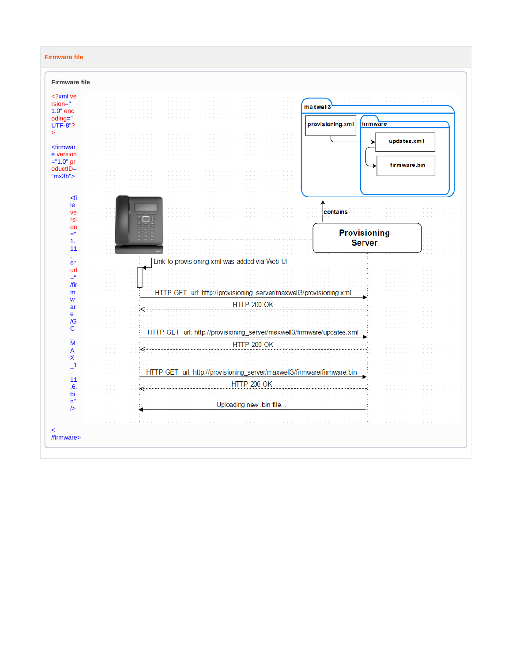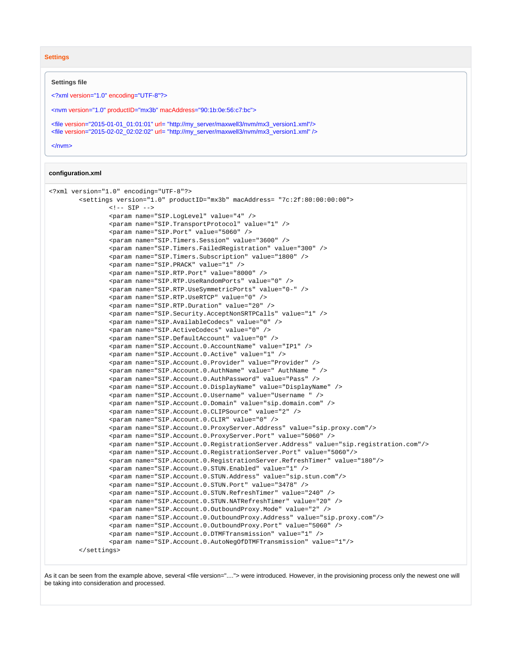**Settings**

#### **Settings file**

<?xml version="1.0" encoding="UTF-8"?>

<nvm version="1.0" productID="mx3b" macAddress="90:1b:0e:56:c7:bc">

<file version="2015-01-01\_01:01:01" url= "http://my\_server/maxwell3/nvm/mx3\_version1.xml"/> <file version="2015-02-02\_02:02:02" url= "[http://my\\_server/maxwell3/nvm/mx3\\_version1.xml"](http://my_server/maxwell3/nvm/mx3_version1.xml) />

</nvm>

#### **configuration.xml**

```
<?xml version="1.0" encoding="UTF-8"?>
         <settings version="1.0" productID="mx3b" macAddress= "7c:2f:80:00:00:00"> 
                \left\langle -\right\rangle -- SIP \left\langle -\right\rangle <param name="SIP.LogLevel" value="4" />
                  <param name="SIP.TransportProtocol" value="1" />
                  <param name="SIP.Port" value="5060" />
                 <param name="SIP.Timers.Session" value="3600" />
                 <param name="SIP.Timers.FailedRegistration" value="300" />
                 <param name="SIP.Timers.Subscription" value="1800" />
                  <param name="SIP.PRACK" value="1" />
                  <param name="SIP.RTP.Port" value="8000" />
                  <param name="SIP.RTP.UseRandomPorts" value="0" />
                  <param name="SIP.RTP.UseSymmetricPorts" value="0-" />
                 <param name="SIP.RTP.UseRTCP" value="0" />
                 <param name="SIP.RTP.Duration" value="20" />
                 <param name="SIP.Security.AcceptNonSRTPCalls" value="1" />
                  <param name="SIP.AvailableCodecs" value="0" />
                  <param name="SIP.ActiveCodecs" value="0" />
                  <param name="SIP.DefaultAccount" value="0" />
                 <param name="SIP.Account.0.AccountName" value="IP1" />
                 <param name="SIP.Account.0.Active" value="1" />
                 <param name="SIP.Account.0.Provider" value="Provider" />
                  <param name="SIP.Account.0.AuthName" value=" AuthName " />
                  <param name="SIP.Account.0.AuthPassword" value="Pass" />
                  <param name="SIP.Account.0.DisplayName" value="DisplayName" />
                  <param name="SIP.Account.0.Username" value="Username " />
                  <param name="SIP.Account.0.Domain" value="sip.domain.com" />
                 <param name="SIP.Account.0.CLIPSource" value="2" />
                 <param name="SIP.Account.0.CLIR" value="0" />
                  <param name="SIP.Account.0.ProxyServer.Address" value="sip.proxy.com"/>
                  <param name="SIP.Account.0.ProxyServer.Port" value="5060" />
                  <param name="SIP.Account.0.RegistrationServer.Address" value="sip.registration.com"/>
                 <param name="SIP.Account.0.RegistrationServer.Port" value="5060"/>
                 <param name="SIP.Account.0.RegistrationServer.RefreshTimer" value="180"/>
                 <param name="SIP.Account.0.STUN.Enabled" value="1" />
                  <param name="SIP.Account.0.STUN.Address" value="sip.stun.com"/>
                  <param name="SIP.Account.0.STUN.Port" value="3478" />
                  <param name="SIP.Account.0.STUN.RefreshTimer" value="240" />
                  <param name="SIP.Account.0.STUN.NATRefreshTimer" value="20" />
                  <param name="SIP.Account.0.OutboundProxy.Mode" value="2" />
                 <param name="SIP.Account.0.OutboundProxy.Address" value="sip.proxy.com"/>
                  <param name="SIP.Account.0.OutboundProxy.Port" value="5060" />
                  <param name="SIP.Account.0.DTMFTransmission" value="1" />
                  <param name="SIP.Account.0.AutoNegOfDTMFTransmission" value="1"/>
         </settings>
```
As it can be seen from the example above, several <file version="...."> were introduced. However, in the provisioning process only the newest one will be taking into consideration and processed.